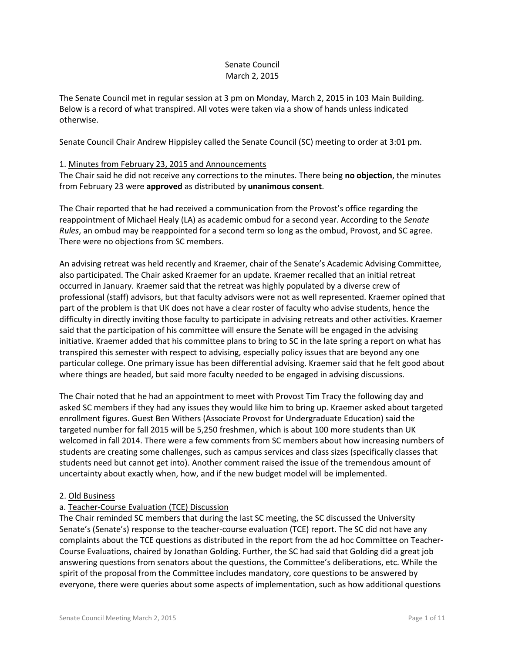## Senate Council March 2, 2015

The Senate Council met in regular session at 3 pm on Monday, March 2, 2015 in 103 Main Building. Below is a record of what transpired. All votes were taken via a show of hands unless indicated otherwise.

Senate Council Chair Andrew Hippisley called the Senate Council (SC) meeting to order at 3:01 pm.

### 1. Minutes from February 23, 2015 and Announcements

The Chair said he did not receive any corrections to the minutes. There being **no objection**, the minutes from February 23 were **approved** as distributed by **unanimous consent**.

The Chair reported that he had received a communication from the Provost's office regarding the reappointment of Michael Healy (LA) as academic ombud for a second year. According to the *Senate Rules*, an ombud may be reappointed for a second term so long as the ombud, Provost, and SC agree. There were no objections from SC members.

An advising retreat was held recently and Kraemer, chair of the Senate's Academic Advising Committee, also participated. The Chair asked Kraemer for an update. Kraemer recalled that an initial retreat occurred in January. Kraemer said that the retreat was highly populated by a diverse crew of professional (staff) advisors, but that faculty advisors were not as well represented. Kraemer opined that part of the problem is that UK does not have a clear roster of faculty who advise students, hence the difficulty in directly inviting those faculty to participate in advising retreats and other activities. Kraemer said that the participation of his committee will ensure the Senate will be engaged in the advising initiative. Kraemer added that his committee plans to bring to SC in the late spring a report on what has transpired this semester with respect to advising, especially policy issues that are beyond any one particular college. One primary issue has been differential advising. Kraemer said that he felt good about where things are headed, but said more faculty needed to be engaged in advising discussions.

The Chair noted that he had an appointment to meet with Provost Tim Tracy the following day and asked SC members if they had any issues they would like him to bring up. Kraemer asked about targeted enrollment figures. Guest Ben Withers (Associate Provost for Undergraduate Education) said the targeted number for fall 2015 will be 5,250 freshmen, which is about 100 more students than UK welcomed in fall 2014. There were a few comments from SC members about how increasing numbers of students are creating some challenges, such as campus services and class sizes (specifically classes that students need but cannot get into). Another comment raised the issue of the tremendous amount of uncertainty about exactly when, how, and if the new budget model will be implemented.

### 2. Old Business

# a. Teacher-Course Evaluation (TCE) Discussion

The Chair reminded SC members that during the last SC meeting, the SC discussed the University Senate's (Senate's) response to the teacher-course evaluation (TCE) report. The SC did not have any complaints about the TCE questions as distributed in the report from the ad hoc Committee on Teacher-Course Evaluations, chaired by Jonathan Golding. Further, the SC had said that Golding did a great job answering questions from senators about the questions, the Committee's deliberations, etc. While the spirit of the proposal from the Committee includes mandatory, core questions to be answered by everyone, there were queries about some aspects of implementation, such as how additional questions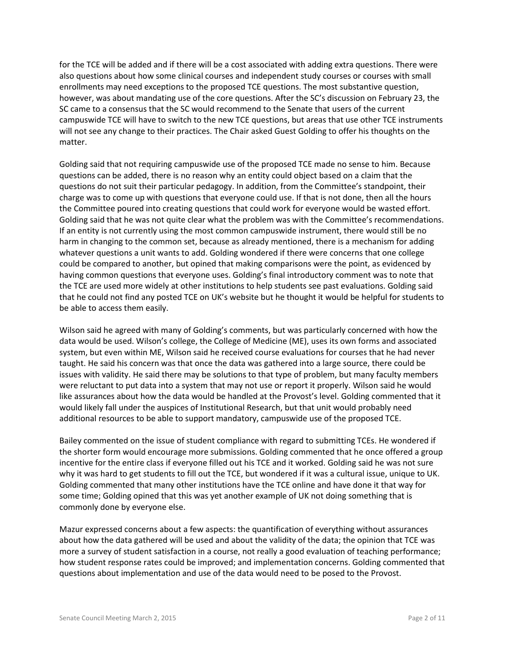for the TCE will be added and if there will be a cost associated with adding extra questions. There were also questions about how some clinical courses and independent study courses or courses with small enrollments may need exceptions to the proposed TCE questions. The most substantive question, however, was about mandating use of the core questions. After the SC's discussion on February 23, the SC came to a consensus that the SC would recommend to the Senate that users of the current campuswide TCE will have to switch to the new TCE questions, but areas that use other TCE instruments will not see any change to their practices. The Chair asked Guest Golding to offer his thoughts on the matter.

Golding said that not requiring campuswide use of the proposed TCE made no sense to him. Because questions can be added, there is no reason why an entity could object based on a claim that the questions do not suit their particular pedagogy. In addition, from the Committee's standpoint, their charge was to come up with questions that everyone could use. If that is not done, then all the hours the Committee poured into creating questions that could work for everyone would be wasted effort. Golding said that he was not quite clear what the problem was with the Committee's recommendations. If an entity is not currently using the most common campuswide instrument, there would still be no harm in changing to the common set, because as already mentioned, there is a mechanism for adding whatever questions a unit wants to add. Golding wondered if there were concerns that one college could be compared to another, but opined that making comparisons were the point, as evidenced by having common questions that everyone uses. Golding's final introductory comment was to note that the TCE are used more widely at other institutions to help students see past evaluations. Golding said that he could not find any posted TCE on UK's website but he thought it would be helpful for students to be able to access them easily.

Wilson said he agreed with many of Golding's comments, but was particularly concerned with how the data would be used. Wilson's college, the College of Medicine (ME), uses its own forms and associated system, but even within ME, Wilson said he received course evaluations for courses that he had never taught. He said his concern was that once the data was gathered into a large source, there could be issues with validity. He said there may be solutions to that type of problem, but many faculty members were reluctant to put data into a system that may not use or report it properly. Wilson said he would like assurances about how the data would be handled at the Provost's level. Golding commented that it would likely fall under the auspices of Institutional Research, but that unit would probably need additional resources to be able to support mandatory, campuswide use of the proposed TCE.

Bailey commented on the issue of student compliance with regard to submitting TCEs. He wondered if the shorter form would encourage more submissions. Golding commented that he once offered a group incentive for the entire class if everyone filled out his TCE and it worked. Golding said he was not sure why it was hard to get students to fill out the TCE, but wondered if it was a cultural issue, unique to UK. Golding commented that many other institutions have the TCE online and have done it that way for some time; Golding opined that this was yet another example of UK not doing something that is commonly done by everyone else.

Mazur expressed concerns about a few aspects: the quantification of everything without assurances about how the data gathered will be used and about the validity of the data; the opinion that TCE was more a survey of student satisfaction in a course, not really a good evaluation of teaching performance; how student response rates could be improved; and implementation concerns. Golding commented that questions about implementation and use of the data would need to be posed to the Provost.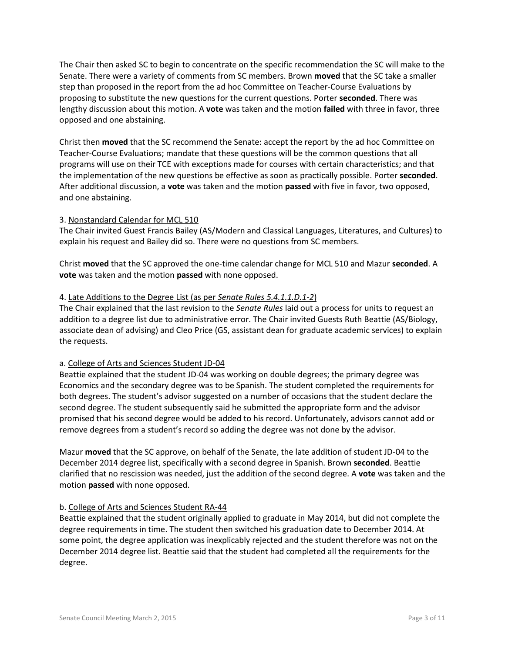The Chair then asked SC to begin to concentrate on the specific recommendation the SC will make to the Senate. There were a variety of comments from SC members. Brown **moved** that the SC take a smaller step than proposed in the report from the ad hoc Committee on Teacher-Course Evaluations by proposing to substitute the new questions for the current questions. Porter **seconded**. There was lengthy discussion about this motion. A **vote** was taken and the motion **failed** with three in favor, three opposed and one abstaining.

Christ then **moved** that the SC recommend the Senate: accept the report by the ad hoc Committee on Teacher-Course Evaluations; mandate that these questions will be the common questions that all programs will use on their TCE with exceptions made for courses with certain characteristics; and that the implementation of the new questions be effective as soon as practically possible. Porter **seconded**. After additional discussion, a **vote** was taken and the motion **passed** with five in favor, two opposed, and one abstaining.

### 3. Nonstandard Calendar for MCL 510

The Chair invited Guest Francis Bailey (AS/Modern and Classical Languages, Literatures, and Cultures) to explain his request and Bailey did so. There were no questions from SC members.

Christ **moved** that the SC approved the one-time calendar change for MCL 510 and Mazur **seconded**. A **vote** was taken and the motion **passed** with none opposed.

#### 4. Late Additions to the Degree List (as per *Senate Rules 5.4.1.1.D.1-2*)

The Chair explained that the last revision to the *Senate Rules* laid out a process for units to request an addition to a degree list due to administrative error. The Chair invited Guests Ruth Beattie (AS/Biology, associate dean of advising) and Cleo Price (GS, assistant dean for graduate academic services) to explain the requests.

#### a. College of Arts and Sciences Student JD-04

Beattie explained that the student JD-04 was working on double degrees; the primary degree was Economics and the secondary degree was to be Spanish. The student completed the requirements for both degrees. The student's advisor suggested on a number of occasions that the student declare the second degree. The student subsequently said he submitted the appropriate form and the advisor promised that his second degree would be added to his record. Unfortunately, advisors cannot add or remove degrees from a student's record so adding the degree was not done by the advisor.

Mazur **moved** that the SC approve, on behalf of the Senate, the late addition of student JD-04 to the December 2014 degree list, specifically with a second degree in Spanish. Brown **seconded**. Beattie clarified that no rescission was needed, just the addition of the second degree. A **vote** was taken and the motion **passed** with none opposed.

#### b. College of Arts and Sciences Student RA-44

Beattie explained that the student originally applied to graduate in May 2014, but did not complete the degree requirements in time. The student then switched his graduation date to December 2014. At some point, the degree application was inexplicably rejected and the student therefore was not on the December 2014 degree list. Beattie said that the student had completed all the requirements for the degree.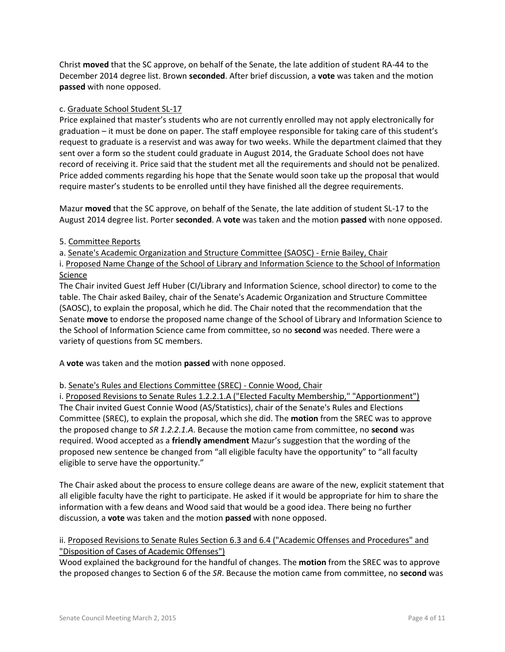Christ **moved** that the SC approve, on behalf of the Senate, the late addition of student RA-44 to the December 2014 degree list. Brown **seconded**. After brief discussion, a **vote** was taken and the motion **passed** with none opposed.

### c. Graduate School Student SL-17

Price explained that master's students who are not currently enrolled may not apply electronically for graduation – it must be done on paper. The staff employee responsible for taking care of this student's request to graduate is a reservist and was away for two weeks. While the department claimed that they sent over a form so the student could graduate in August 2014, the Graduate School does not have record of receiving it. Price said that the student met all the requirements and should not be penalized. Price added comments regarding his hope that the Senate would soon take up the proposal that would require master's students to be enrolled until they have finished all the degree requirements.

Mazur **moved** that the SC approve, on behalf of the Senate, the late addition of student SL-17 to the August 2014 degree list. Porter **seconded**. A **vote** was taken and the motion **passed** with none opposed.

#### 5. Committee Reports

a. Senate's Academic Organization and Structure Committee (SAOSC) - Ernie Bailey, Chair

i. Proposed Name Change of the School of Library and Information Science to the School of Information **Science** 

The Chair invited Guest Jeff Huber (CI/Library and Information Science, school director) to come to the table. The Chair asked Bailey, chair of the Senate's Academic Organization and Structure Committee (SAOSC), to explain the proposal, which he did. The Chair noted that the recommendation that the Senate **move** to endorse the proposed name change of the School of Library and Information Science to the School of Information Science came from committee, so no **second** was needed. There were a variety of questions from SC members.

A **vote** was taken and the motion **passed** with none opposed.

### b. Senate's Rules and Elections Committee (SREC) - Connie Wood, Chair

i. Proposed Revisions to Senate Rules 1.2.2.1.A ("Elected Faculty Membership," "Apportionment") The Chair invited Guest Connie Wood (AS/Statistics), chair of the Senate's Rules and Elections Committee (SREC), to explain the proposal, which she did. The **motion** from the SREC was to approve the proposed change to *SR 1.2.2.1.A*. Because the motion came from committee, no **second** was required. Wood accepted as a **friendly amendment** Mazur's suggestion that the wording of the proposed new sentence be changed from "all eligible faculty have the opportunity" to "all faculty eligible to serve have the opportunity."

The Chair asked about the process to ensure college deans are aware of the new, explicit statement that all eligible faculty have the right to participate. He asked if it would be appropriate for him to share the information with a few deans and Wood said that would be a good idea. There being no further discussion, a **vote** was taken and the motion **passed** with none opposed.

# ii. Proposed Revisions to Senate Rules Section 6.3 and 6.4 ("Academic Offenses and Procedures" and "Disposition of Cases of Academic Offenses")

Wood explained the background for the handful of changes. The **motion** from the SREC was to approve the proposed changes to Section 6 of the *SR*. Because the motion came from committee, no **second** was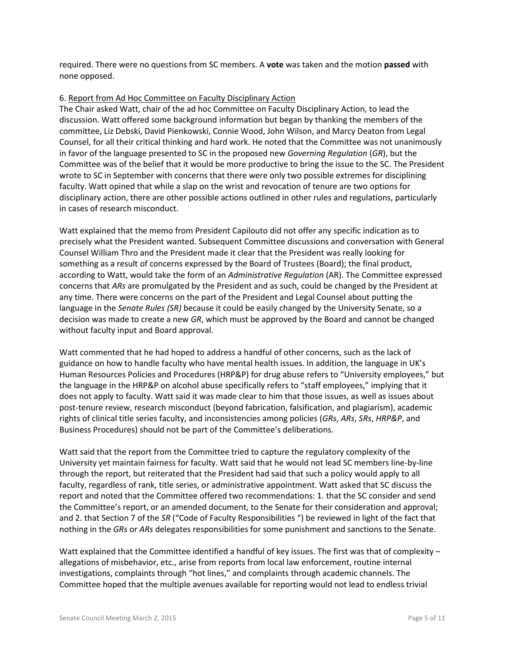required. There were no questions from SC members. A **vote** was taken and the motion **passed** with none opposed.

#### 6. Report from Ad Hoc Committee on Faculty Disciplinary Action

The Chair asked Watt, chair of the ad hoc Committee on Faculty Disciplinary Action, to lead the discussion. Watt offered some background information but began by thanking the members of the committee, Liz Debski, David Pienkowski, Connie Wood, John Wilson, and Marcy Deaton from Legal Counsel, for all their critical thinking and hard work. He noted that the Committee was not unanimously in favor of the language presented to SC in the proposed new *Governing Regulation* (*GR*), but the Committee was of the belief that it would be more productive to bring the issue to the SC. The President wrote to SC in September with concerns that there were only two possible extremes for disciplining faculty. Watt opined that while a slap on the wrist and revocation of tenure are two options for disciplinary action, there are other possible actions outlined in other rules and regulations, particularly in cases of research misconduct.

Watt explained that the memo from President Capilouto did not offer any specific indication as to precisely what the President wanted. Subsequent Committee discussions and conversation with General Counsel William Thro and the President made it clear that the President was really looking for something as a result of concerns expressed by the Board of Trustees (Board); the final product, according to Watt, would take the form of an *Administrative Regulation* (AR). The Committee expressed concerns that *ARs* are promulgated by the President and as such, could be changed by the President at any time. There were concerns on the part of the President and Legal Counsel about putting the language in the *Senate Rules (SR)* because it could be easily changed by the University Senate, so a decision was made to create a new *GR*, which must be approved by the Board and cannot be changed without faculty input and Board approval.

Watt commented that he had hoped to address a handful of other concerns, such as the lack of guidance on how to handle faculty who have mental health issues. In addition, the language in UK's Human Resources Policies and Procedures (HRP&P) for drug abuse refers to "University employees," but the language in the HRP&P on alcohol abuse specifically refers to "staff employees," implying that it does not apply to faculty. Watt said it was made clear to him that those issues, as well as issues about post-tenure review, research misconduct (beyond fabrication, falsification, and plagiarism), academic rights of clinical title series faculty, and inconsistencies among policies (*GRs*, *ARs*, *SRs*, *HRP&P*, and Business Procedures) should not be part of the Committee's deliberations.

Watt said that the report from the Committee tried to capture the regulatory complexity of the University yet maintain fairness for faculty. Watt said that he would not lead SC members line-by-line through the report, but reiterated that the President had said that such a policy would apply to all faculty, regardless of rank, title series, or administrative appointment. Watt asked that SC discuss the report and noted that the Committee offered two recommendations: 1. that the SC consider and send the Committee's report, or an amended document, to the Senate for their consideration and approval; and 2. that Section 7 of the *SR* ("Code of Faculty Responsibilities ") be reviewed in light of the fact that nothing in the *GRs* or *ARs* delegates responsibilities for some punishment and sanctions to the Senate.

Watt explained that the Committee identified a handful of key issues. The first was that of complexity allegations of misbehavior, etc., arise from reports from local law enforcement, routine internal investigations, complaints through "hot lines," and complaints through academic channels. The Committee hoped that the multiple avenues available for reporting would not lead to endless trivial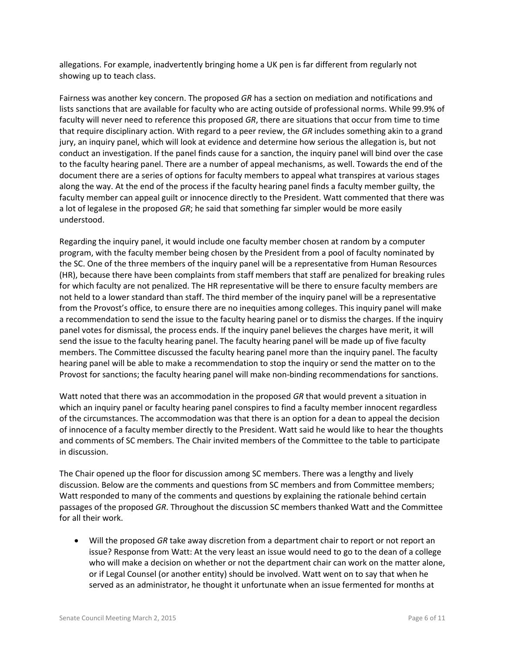allegations. For example, inadvertently bringing home a UK pen is far different from regularly not showing up to teach class.

Fairness was another key concern. The proposed *GR* has a section on mediation and notifications and lists sanctions that are available for faculty who are acting outside of professional norms. While 99.9% of faculty will never need to reference this proposed *GR*, there are situations that occur from time to time that require disciplinary action. With regard to a peer review, the *GR* includes something akin to a grand jury, an inquiry panel, which will look at evidence and determine how serious the allegation is, but not conduct an investigation. If the panel finds cause for a sanction, the inquiry panel will bind over the case to the faculty hearing panel. There are a number of appeal mechanisms, as well. Towards the end of the document there are a series of options for faculty members to appeal what transpires at various stages along the way. At the end of the process if the faculty hearing panel finds a faculty member guilty, the faculty member can appeal guilt or innocence directly to the President. Watt commented that there was a lot of legalese in the proposed *GR*; he said that something far simpler would be more easily understood.

Regarding the inquiry panel, it would include one faculty member chosen at random by a computer program, with the faculty member being chosen by the President from a pool of faculty nominated by the SC. One of the three members of the inquiry panel will be a representative from Human Resources (HR), because there have been complaints from staff members that staff are penalized for breaking rules for which faculty are not penalized. The HR representative will be there to ensure faculty members are not held to a lower standard than staff. The third member of the inquiry panel will be a representative from the Provost's office, to ensure there are no inequities among colleges. This inquiry panel will make a recommendation to send the issue to the faculty hearing panel or to dismiss the charges. If the inquiry panel votes for dismissal, the process ends. If the inquiry panel believes the charges have merit, it will send the issue to the faculty hearing panel. The faculty hearing panel will be made up of five faculty members. The Committee discussed the faculty hearing panel more than the inquiry panel. The faculty hearing panel will be able to make a recommendation to stop the inquiry or send the matter on to the Provost for sanctions; the faculty hearing panel will make non-binding recommendations for sanctions.

Watt noted that there was an accommodation in the proposed *GR* that would prevent a situation in which an inquiry panel or faculty hearing panel conspires to find a faculty member innocent regardless of the circumstances. The accommodation was that there is an option for a dean to appeal the decision of innocence of a faculty member directly to the President. Watt said he would like to hear the thoughts and comments of SC members. The Chair invited members of the Committee to the table to participate in discussion.

The Chair opened up the floor for discussion among SC members. There was a lengthy and lively discussion. Below are the comments and questions from SC members and from Committee members; Watt responded to many of the comments and questions by explaining the rationale behind certain passages of the proposed *GR*. Throughout the discussion SC members thanked Watt and the Committee for all their work.

 Will the proposed *GR* take away discretion from a department chair to report or not report an issue? Response from Watt: At the very least an issue would need to go to the dean of a college who will make a decision on whether or not the department chair can work on the matter alone, or if Legal Counsel (or another entity) should be involved. Watt went on to say that when he served as an administrator, he thought it unfortunate when an issue fermented for months at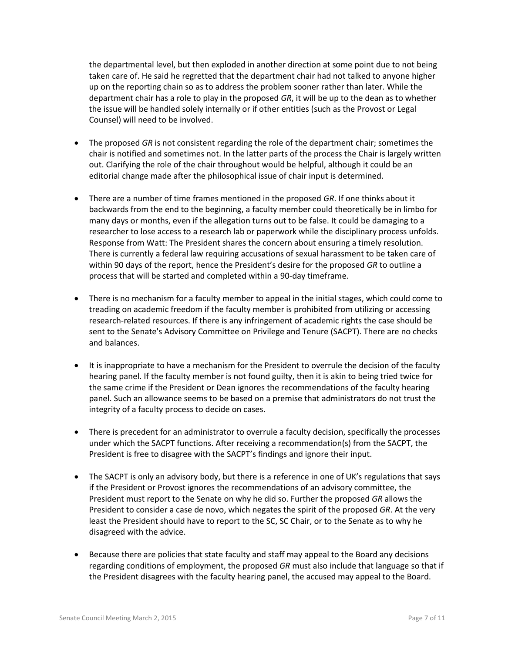the departmental level, but then exploded in another direction at some point due to not being taken care of. He said he regretted that the department chair had not talked to anyone higher up on the reporting chain so as to address the problem sooner rather than later. While the department chair has a role to play in the proposed *GR*, it will be up to the dean as to whether the issue will be handled solely internally or if other entities (such as the Provost or Legal Counsel) will need to be involved.

- The proposed *GR* is not consistent regarding the role of the department chair; sometimes the chair is notified and sometimes not. In the latter parts of the process the Chair is largely written out. Clarifying the role of the chair throughout would be helpful, although it could be an editorial change made after the philosophical issue of chair input is determined.
- There are a number of time frames mentioned in the proposed *GR*. If one thinks about it backwards from the end to the beginning, a faculty member could theoretically be in limbo for many days or months, even if the allegation turns out to be false. It could be damaging to a researcher to lose access to a research lab or paperwork while the disciplinary process unfolds. Response from Watt: The President shares the concern about ensuring a timely resolution. There is currently a federal law requiring accusations of sexual harassment to be taken care of within 90 days of the report, hence the President's desire for the proposed *GR* to outline a process that will be started and completed within a 90-day timeframe.
- There is no mechanism for a faculty member to appeal in the initial stages, which could come to treading on academic freedom if the faculty member is prohibited from utilizing or accessing research-related resources. If there is any infringement of academic rights the case should be sent to the Senate's Advisory Committee on Privilege and Tenure (SACPT). There are no checks and balances.
- It is inappropriate to have a mechanism for the President to overrule the decision of the faculty hearing panel. If the faculty member is not found guilty, then it is akin to being tried twice for the same crime if the President or Dean ignores the recommendations of the faculty hearing panel. Such an allowance seems to be based on a premise that administrators do not trust the integrity of a faculty process to decide on cases.
- There is precedent for an administrator to overrule a faculty decision, specifically the processes under which the SACPT functions. After receiving a recommendation(s) from the SACPT, the President is free to disagree with the SACPT's findings and ignore their input.
- The SACPT is only an advisory body, but there is a reference in one of UK's regulations that says if the President or Provost ignores the recommendations of an advisory committee, the President must report to the Senate on why he did so. Further the proposed *GR* allows the President to consider a case de novo, which negates the spirit of the proposed *GR*. At the very least the President should have to report to the SC, SC Chair, or to the Senate as to why he disagreed with the advice.
- Because there are policies that state faculty and staff may appeal to the Board any decisions regarding conditions of employment, the proposed *GR* must also include that language so that if the President disagrees with the faculty hearing panel, the accused may appeal to the Board.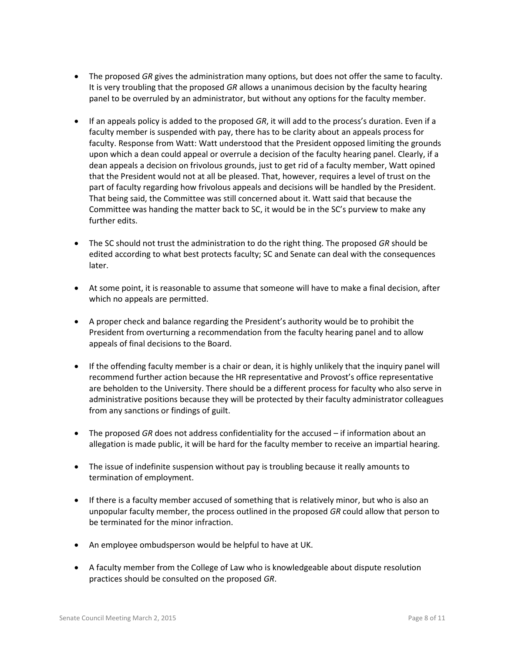- The proposed *GR* gives the administration many options, but does not offer the same to faculty. It is very troubling that the proposed *GR* allows a unanimous decision by the faculty hearing panel to be overruled by an administrator, but without any options for the faculty member.
- If an appeals policy is added to the proposed *GR*, it will add to the process's duration. Even if a faculty member is suspended with pay, there has to be clarity about an appeals process for faculty. Response from Watt: Watt understood that the President opposed limiting the grounds upon which a dean could appeal or overrule a decision of the faculty hearing panel. Clearly, if a dean appeals a decision on frivolous grounds, just to get rid of a faculty member, Watt opined that the President would not at all be pleased. That, however, requires a level of trust on the part of faculty regarding how frivolous appeals and decisions will be handled by the President. That being said, the Committee was still concerned about it. Watt said that because the Committee was handing the matter back to SC, it would be in the SC's purview to make any further edits.
- The SC should not trust the administration to do the right thing. The proposed *GR* should be edited according to what best protects faculty; SC and Senate can deal with the consequences later.
- At some point, it is reasonable to assume that someone will have to make a final decision, after which no appeals are permitted.
- A proper check and balance regarding the President's authority would be to prohibit the President from overturning a recommendation from the faculty hearing panel and to allow appeals of final decisions to the Board.
- If the offending faculty member is a chair or dean, it is highly unlikely that the inquiry panel will recommend further action because the HR representative and Provost's office representative are beholden to the University. There should be a different process for faculty who also serve in administrative positions because they will be protected by their faculty administrator colleagues from any sanctions or findings of guilt.
- The proposed *GR* does not address confidentiality for the accused if information about an allegation is made public, it will be hard for the faculty member to receive an impartial hearing.
- The issue of indefinite suspension without pay is troubling because it really amounts to termination of employment.
- If there is a faculty member accused of something that is relatively minor, but who is also an unpopular faculty member, the process outlined in the proposed *GR* could allow that person to be terminated for the minor infraction.
- An employee ombudsperson would be helpful to have at UK.
- A faculty member from the College of Law who is knowledgeable about dispute resolution practices should be consulted on the proposed *GR*.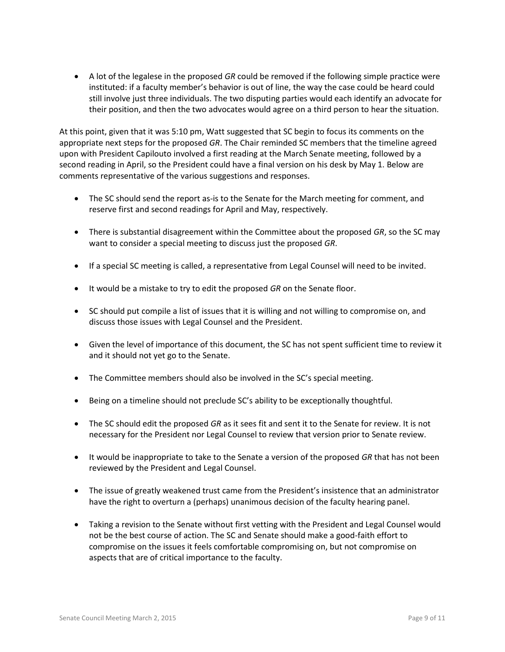A lot of the legalese in the proposed *GR* could be removed if the following simple practice were instituted: if a faculty member's behavior is out of line, the way the case could be heard could still involve just three individuals. The two disputing parties would each identify an advocate for their position, and then the two advocates would agree on a third person to hear the situation.

At this point, given that it was 5:10 pm, Watt suggested that SC begin to focus its comments on the appropriate next steps for the proposed *GR*. The Chair reminded SC members that the timeline agreed upon with President Capilouto involved a first reading at the March Senate meeting, followed by a second reading in April, so the President could have a final version on his desk by May 1. Below are comments representative of the various suggestions and responses.

- The SC should send the report as-is to the Senate for the March meeting for comment, and reserve first and second readings for April and May, respectively.
- There is substantial disagreement within the Committee about the proposed *GR*, so the SC may want to consider a special meeting to discuss just the proposed *GR*.
- If a special SC meeting is called, a representative from Legal Counsel will need to be invited.
- It would be a mistake to try to edit the proposed *GR* on the Senate floor.
- SC should put compile a list of issues that it is willing and not willing to compromise on, and discuss those issues with Legal Counsel and the President.
- Given the level of importance of this document, the SC has not spent sufficient time to review it and it should not yet go to the Senate.
- The Committee members should also be involved in the SC's special meeting.
- Being on a timeline should not preclude SC's ability to be exceptionally thoughtful.
- The SC should edit the proposed *GR* as it sees fit and sent it to the Senate for review. It is not necessary for the President nor Legal Counsel to review that version prior to Senate review.
- It would be inappropriate to take to the Senate a version of the proposed *GR* that has not been reviewed by the President and Legal Counsel.
- The issue of greatly weakened trust came from the President's insistence that an administrator have the right to overturn a (perhaps) unanimous decision of the faculty hearing panel.
- Taking a revision to the Senate without first vetting with the President and Legal Counsel would not be the best course of action. The SC and Senate should make a good-faith effort to compromise on the issues it feels comfortable compromising on, but not compromise on aspects that are of critical importance to the faculty.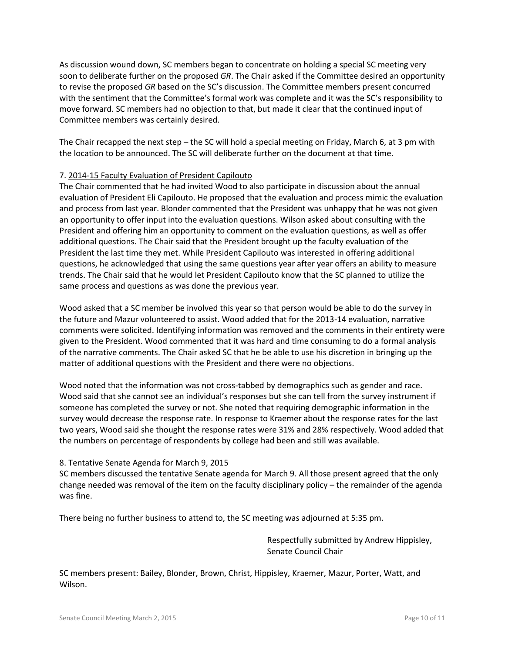As discussion wound down, SC members began to concentrate on holding a special SC meeting very soon to deliberate further on the proposed *GR*. The Chair asked if the Committee desired an opportunity to revise the proposed *GR* based on the SC's discussion. The Committee members present concurred with the sentiment that the Committee's formal work was complete and it was the SC's responsibility to move forward. SC members had no objection to that, but made it clear that the continued input of Committee members was certainly desired.

The Chair recapped the next step – the SC will hold a special meeting on Friday, March 6, at 3 pm with the location to be announced. The SC will deliberate further on the document at that time.

# 7. 2014-15 Faculty Evaluation of President Capilouto

The Chair commented that he had invited Wood to also participate in discussion about the annual evaluation of President Eli Capilouto. He proposed that the evaluation and process mimic the evaluation and process from last year. Blonder commented that the President was unhappy that he was not given an opportunity to offer input into the evaluation questions. Wilson asked about consulting with the President and offering him an opportunity to comment on the evaluation questions, as well as offer additional questions. The Chair said that the President brought up the faculty evaluation of the President the last time they met. While President Capilouto was interested in offering additional questions, he acknowledged that using the same questions year after year offers an ability to measure trends. The Chair said that he would let President Capilouto know that the SC planned to utilize the same process and questions as was done the previous year.

Wood asked that a SC member be involved this year so that person would be able to do the survey in the future and Mazur volunteered to assist. Wood added that for the 2013-14 evaluation, narrative comments were solicited. Identifying information was removed and the comments in their entirety were given to the President. Wood commented that it was hard and time consuming to do a formal analysis of the narrative comments. The Chair asked SC that he be able to use his discretion in bringing up the matter of additional questions with the President and there were no objections.

Wood noted that the information was not cross-tabbed by demographics such as gender and race. Wood said that she cannot see an individual's responses but she can tell from the survey instrument if someone has completed the survey or not. She noted that requiring demographic information in the survey would decrease the response rate. In response to Kraemer about the response rates for the last two years, Wood said she thought the response rates were 31% and 28% respectively. Wood added that the numbers on percentage of respondents by college had been and still was available.

### 8. Tentative Senate Agenda for March 9, 2015

SC members discussed the tentative Senate agenda for March 9. All those present agreed that the only change needed was removal of the item on the faculty disciplinary policy – the remainder of the agenda was fine.

There being no further business to attend to, the SC meeting was adjourned at 5:35 pm.

Respectfully submitted by Andrew Hippisley, Senate Council Chair

SC members present: Bailey, Blonder, Brown, Christ, Hippisley, Kraemer, Mazur, Porter, Watt, and Wilson.